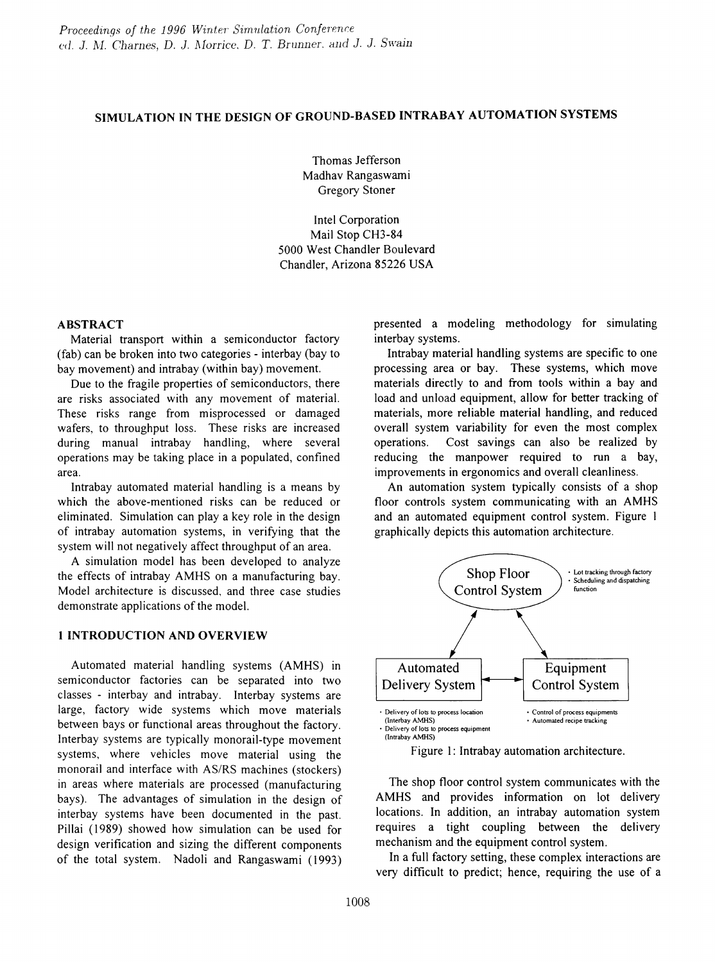# SIMULATION IN THE DESIGN OF GROUND-BASED INTRABAY AUTOMATION SYSTEMS

Thomas Jefferson Madhav Rangaswami Gregory Stoner

Intel Corporation Mail Stop CH3-84 5000 West Chandler Boulevard Chandler, Arizona 85226 USA

### ABSTRACT

Material transport within a semiconductor factory (fab) can be broken into two categories - interbay (bay to bay movement) and intrabay (within bay) movement.

Due to the fragile properties of semiconductors, there are risks associated with any movement of material. These risks range from misprocessed or damaged wafers, to throughput loss. These risks are increased during manual intrabay handling, where several operations may be taking place in a populated, confined area.

Intrabay automated material handling is a means by which the above-mentioned risks can be reduced or eliminated. Simulation can playa key role in the design of intrabay automation systems, in verifying that the system will not negatively affect throughput of an area.

A simulation model has been developed to analyze the effects of intrabay AMHS on a manufacturing bay. Model architecture is discussed, and three case studies demonstrate applications of the model.

## 1 INTRODUCTION AND OVERVIEW

Automated material handling systems (AMHS) in semiconductor factories can be separated into two classes - interbay and intrabay. Interbay systems are large, factory wide systems which move materials between bays or functional areas throughout the factory. Interbay systems are typically monorail-type movement systems, where vehicles move material using the monorail and interface with AS/RS machines (stockers) in areas where materials are processed (manufacturing bays). The advantages of simulation in the design of interbay systems have been documented in the past. Pillai (1989) showed how simulation can be used for design verification and sizing the different components of the total system. Nadoli and Rangaswami (1993) presented a modeling methodology for simulating interbay systems.

Intrabay material handling systems are specific to one processing area or bay. These systems, which move materials directly to and from tools within a bay and load and unload equipment, allow for better tracking of materials, more reliable material handling, and reduced overall system variability for even the most complex operations. Cost savings can also be realized by reducing the manpower required to run a bay, improvements in ergonomics and overall cleanliness.

An automation system typically consists of a shop floor controls system communicating with an AMHS and an automated equipment control system. Figure 1 graphically depicts this automation architecture.



Figure 1: Intrabay automation architecture.

The shop floor control system communicates with the AMHS and provides information on lot delivery locations. In addition, an intrabay automation system requires a tight coupling between the delivery mechanism and the equipment control system.

In a full factory setting, these complex interactions are very difficult to predict; hence, requiring the use of a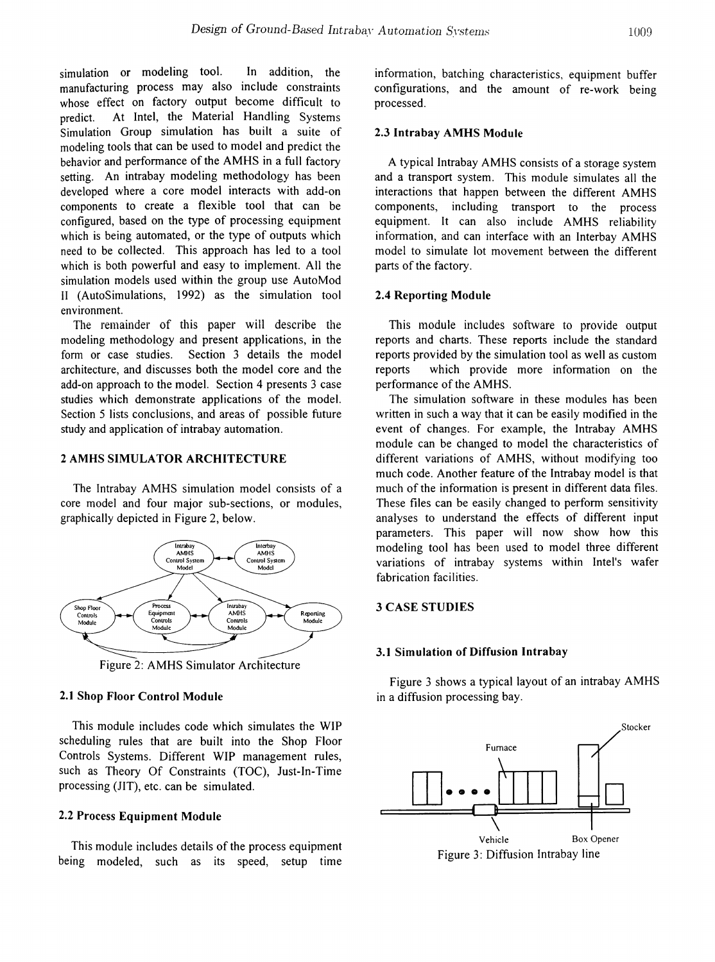simulation or modeling tool. In addition, the manufacturing process may also include constraints whose effect on factory output become difficult to predict. At Intel, the Material Handling Systems Simulation Group simulation has built a suite of modeling tools that can be used to model and predict the behavior and performance of the AMHS in a full factory setting. An intrabay modeling methodology has been developed where a core model interacts with add-on components to create a flexible tool that can be configured, based on the type of processing equipment which is being automated, or the type of outputs which need to be collected. This approach has led to a tool which is both powerful and easy to implement. All the simulation models used within the group use AutoMod II (AutoSimulations, 1992) as the simulation tool environment.

The remainder of this paper will describe the modeling methodology and present applications, in the form or case studies. Section 3 details the model architecture, and discusses both the model core and the add-on approach to the model. Section 4 presents 3 case studies which demonstrate applications of the model. Section 5 lists conclusions, and areas of possible future study and application of intrabay automation.

## 2 AMHS SIMULATOR ARCHITECTURE

The Intrabay AMHS simulation model consists of a core model and four major sub-sections, or modules, graphically depicted in Figure 2, below.



Figure 2: AMHS Simulator Architecture

#### 2.1 Shop Floor Control Module

This module includes code which simulates the WIP scheduling rules that are built into the Shop Floor Controls Systems. Different WIP management rules, such as Theory Of Constraints (TOC), Just-In-Time processing (lIT), etc. can be simulated.

### 2.2 Process Equipment Module

This module includes details of the process equipment being modeled, such as its speed, setup time information, batching characteristics, equipment buffer configurations, and the amount of re-work being processed.

### 2.3 Intrabay AMHS Module

A typical Intrabay AMHS consists of a storage system and a transport system. This module simulates all the interactions that happen between the different AMHS components, including transport to the process equipment. It can also include AMHS reliability information, and can interface with an Interbay AMHS model to simulate lot movement between the different parts of the factory.

#### 2.4 Reporting Module

This module includes software to provide output reports and charts. These reports include the standard reports provided by the simulation tool as well as custom reports which provide more information on the performance of the AMHS.

The simulation software in these modules has been written in such a way that it can be easily modified in the event of changes. For example, the Intrabay AMHS module can be changed to model the characteristics of different variations of AMHS, without modifying too much code. Another feature of the Intrabay model is that much of the information is present in different data files. These files can be easily changed to perform sensitivity analyses to understand the effects of different input parameters. This paper will now show how this modeling tool has been used to model three different variations of intrabay systems within Intel's wafer fabrication facilities.

### 3 CASE STUDIES

#### 3.1 Simulation of Diffusion Intrabay

Figure 3 shows a typical layout of an intrabay AMHS in a diffusion processing bay.



Figure 3: Diffusion Intrabay line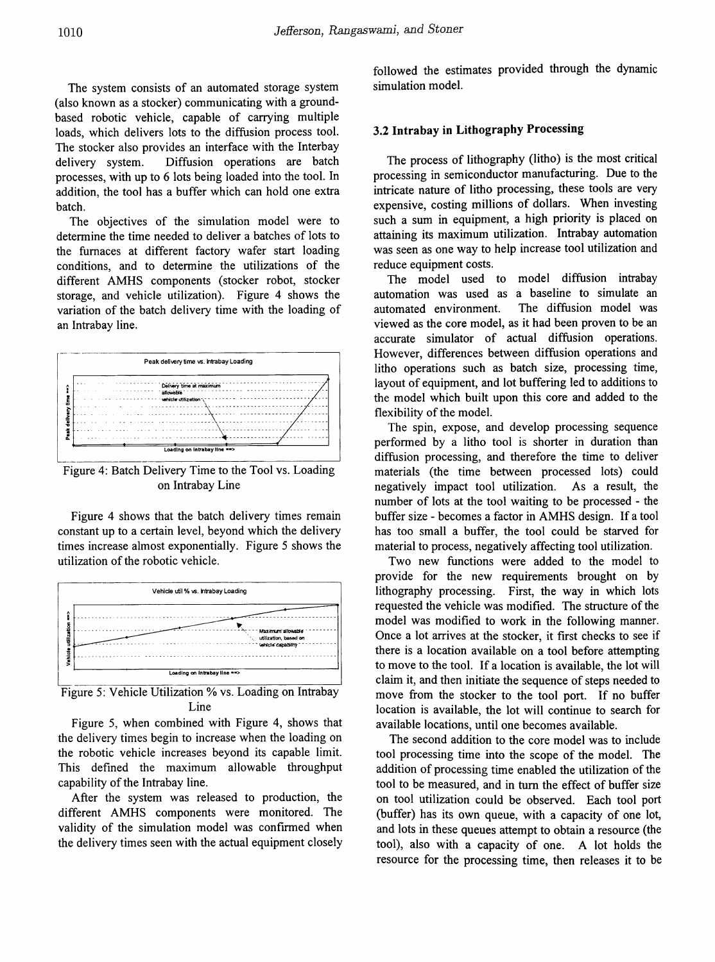The system consists of an automated storage system (also known as a stocker) communicating with a groundbased robotic vehicle, capable of carrying multiple loads, which delivers lots to the diffusion process tool. The stocker also provides an interface with the Interbay delivery system. Diffusion operations are batch processes, with up to 6 lots being loaded into the tool. In addition, the tool has a buffer which can hold one extra batch.

The objectives of the simulation model were to determine the time needed to deliver a batches of lots to the furnaces at different factory wafer start loading conditions, and to determine the utilizations of the different AMHS components (stocker robot, stocker storage, and vehicle utilization). Figure 4 shows the variation of the batch delivery time with the loading of an Intrabay line.



Figure 4: Batch Delivery Time to the Tool vs. Loading on Intrabay Line

Figure 4 shows that the batch delivery times remain constant up to a certain level, beyond which the delivery times increase almost exponentially. Figure 5 shows the utilization of the robotic vehicle.



Figure 5: Vehicle Utilization % vs. Loading on Intrabay Line

Figure 5, when combined with Figure 4, shows that the delivery times begin to increase when the loading on the robotic vehicle increases beyond its capable limit. This defined the maximum allowable throughput capability of the Intrabay line.

After the system was released to production, the different AMHS components were monitored. The validity of the simulation model was confirmed when the delivery times seen with the actual equipment closely followed the estimates provided through the dynamic simulation model.

## 3.2 Intrabay in Lithography Processing

The process of lithography (litho) is the most critical processing in semiconductor manufacturing. Due to the intricate nature of litho processing, these tools are very expensive, costing millions of dollars. When investing such a sum in equipment, a high priority is placed on attaining its maximum utilization. Intrabay automation was seen as one way to help increase tool utilization and reduce equipment costs.

The model used to model diffusion intrabay automation was used as a baseline to simulate an The diffusion model was automated environment. viewed as the core model, as it had been proven to be an accurate simulator of actual diffusion operations. However, differences between diffusion operations and litho operations such as batch size, processing time, layout of equipment, and lot buffering led to additions to the model which built upon this core and added to the flexibility of the model.

The spin, expose, and develop processing sequence performed by a litho tool is shorter in duration than diffusion processing, and therefore the time to deliver materials (the time between processed lots) could negatively impact tool utilization. As a result, the number of lots at the tool waiting to be processed - the buffer size - becomes a factor in AMHS design. If a tool has too small a buffer, the tool could be starved for material to process, negatively affecting tool utilization.

Two new functions were added to the model to provide for the new requirements brought on by lithography processing. First, the way in which lots requested the vehicle was modified. The structure of the model was modified to work in the following manner. Once a lot arrives at the stocker, it first checks to see if there is a location available on a tool before attempting to move to the tool. If a location is available, the lot will claim it, and then initiate the sequence of steps needed to move from the stocker to the tool port. If no buffer location is available, the lot will continue to search for available locations, until one becomes available.

The second addition to the core model was to include tool processing time into the scope of the model. The addition of processing time enabled the utilization of the tool to be measured, and in turn the effect of buffer size on tool utilization could be observed. Each tool port (buffer) has its own queue, with a capacity of one lot, and lots in these queues attempt to obtain a resource (the tool), also with a capacity of one. A lot holds the resource for the processing time, then releases it to be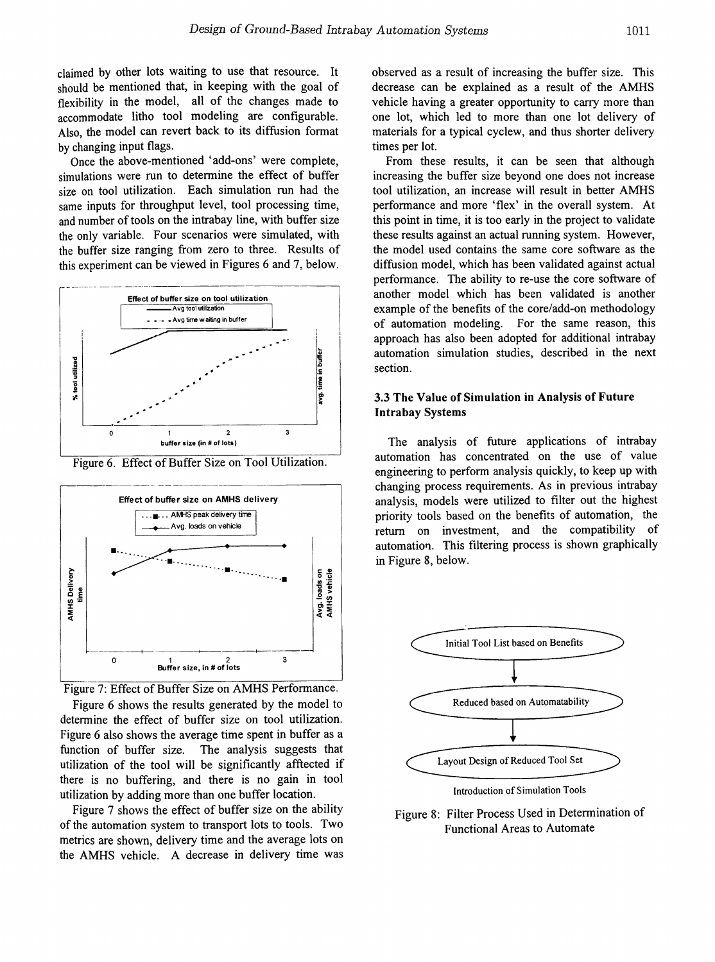claimed by other lots waiting to use that resource. It should be mentioned that, in keeping with the goal of flexibility in the model, all of the changes made to accommodate litho tool modeling are configurable. Also, the model can revert back to its diffusion format by changing input flags.

Once the above-mentioned 'add-ons' were complete, simulations were run to determine the effect of buffer size on tool utilization. Each simulation run had the same inputs for throughput level, tool processing time, and number of tools on the intrabay line, with buffer size the only variable. Four scenarios were simulated, with the buffer size ranging from zero to three. Results of this experiment can be viewed in Figures 6 and 7, below.



Figure 6. Effect of Buffer Size on Tool Utilization.





Figure 6 shows the results generated by the model to determine the effect of buffer size on tool utilization. Figure 6 also shows the average time spent in buffer as a function of buffer size. The analysis suggests that utilization of the tool will be significantly afftected if there is no buffering, and there is no gain in tool utilization by adding more than one buffer location.

Figure 7 shows the effect of buffer size on the ability of the automation system to transport lots to tools. Two metrics are shown, delivery time and the average lots on the AMHS vehicle. A decrease in delivery time was observed as a result of increasing the buffer size. This decrease can be explained as a result of the AMHS vehicle having a greater opportunity to carry more than one lot, which led to more than one lot delivery of materials for a typical cyclew, and thus shorter delivery times per lot.

From these results, it can be seen that although increasing the buffer size beyond one does not increase tool utilization, an increase will result in better AMHS performance and more 'flex' in the overall system. At this point in time, it is too early in the project to validate these results against an actual running system. However, the model used contains the same core software as the diffusion model, which has been validated against actual performance. The ability to re-use the core software of another model which has been validated is another example of the benefits of the core/add-on methodology of automation modeling. For the same reason, this approach has also been adopted for additional intrabay automation simulation studies, described in the next section.

## 3.3 The Value of Simulation in Analysis of Future Intrabay Systems

buffer size (in # of lots) The analysis of future applications of intrabay automation has concentrated on the use of value engineering to perform analysis quickly, to keep up with changing process requirements. As in previous intrabay analysis, models were utilized to filter out the highest priority tools based on the benefits of automation, the return on investment, and the compatibility of automation. This filtering process is shown graphically in Figure 8, below.



Figure 8: Filter Process Used in Determination of Functional Areas to Automate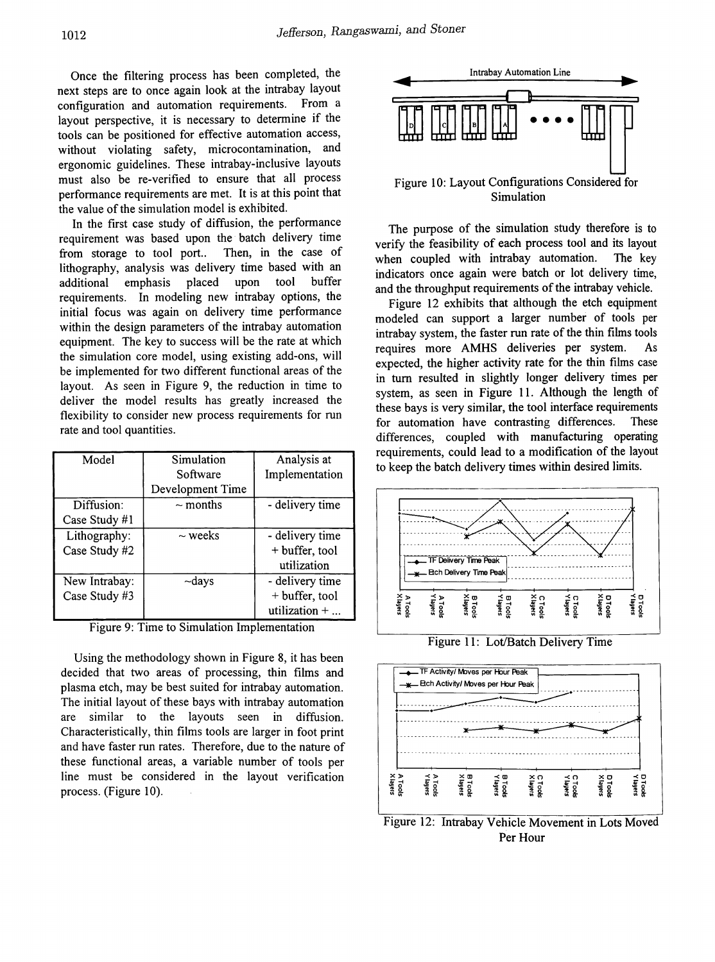Once the filtering process has been completed, the next steps are to once again look at the intrabay layout configuration and automation requirements. From a layout perspective, it is necessary to determine if the tools can be positioned for effective automation access, without violating safety, microcontamination, and ergonomic guidelines. These intrabay-inclusive layouts must also be re-verified to ensure that all process performance requirements are met. It is at this point that the value of the simulation model is exhibited.

In the first case study of diffusion, the performance requirement was based upon the batch delivery time<br>from storage to tool port.. Then, in the case of from storage to tool port.. lithography, analysis was delivery time based with an additional emphasis placed upon tool buffer requirements. In modeling new intrabay options, the initial focus was again on delivery time performance within the design parameters of the intrabay automation equipment. The key to success will be the rate at which the simulation core model, using existing add-ons, will be implemented for two different functional areas of the layout. As seen in Figure 9, the reduction in time to deliver the model results has greatly increased the flexibility to consider new process requirements for run rate and tool quantities.

| Model         | Simulation       | Analysis at           |
|---------------|------------------|-----------------------|
|               | Software         | Implementation        |
|               | Development Time |                       |
| Diffusion:    | $\sim$ months    | - delivery time       |
| Case Study #1 |                  |                       |
| Lithography:  | $\sim$ weeks     | - delivery time       |
| Case Study #2 |                  | + buffer, tool        |
|               |                  | utilization           |
| New Intrabay: | ~days            | - delivery time       |
| Case Study #3 |                  | + buffer, tool        |
|               |                  | utilization $+ \dots$ |

Figure 9: Time to Simulation Implementation

Using the methodology shown in Figure 8, it has been decided that two areas of processing, thin films and plasma etch, may be best suited for intrabay automation. The initial layout of these bays with intrabay automation are similar to the layouts seen in diffusion. Characteristically, thin films tools are larger in foot print and have faster run rates. Therefore, due to the nature of these functional areas, a variable number of tools per line must be considered in the layout verification process. (Figure 10).



The purpose of the simulation study therefore is to verify the feasibility of each process tool and its layout when coupled with intrabay automation. The key indicators once again were batch or lot delivery time, and the throughput requirements of the intrabay vehicle.

Figure 12 exhibits that although the etch equipment modeled can support a larger number of tools per intrabay system, the faster run rate of the thin films tools requires more AMHS deliveries per system. As expected, the higher activity rate for the thin films case in tum resulted in slightly longer delivery times per system, as seen in Figure 11. Although the length of these bays is very similar, the tool interface requirements for automation have contrasting differences. These differences, coupled with manufacturing operating requirements, could lead to a modification of the layout to keep the batch delivery times within desired limits.



Figure 11: Lot/Batch Delivery Time



Figure 12: Intrabay Vehicle Movement in Lots Moved Per Hour